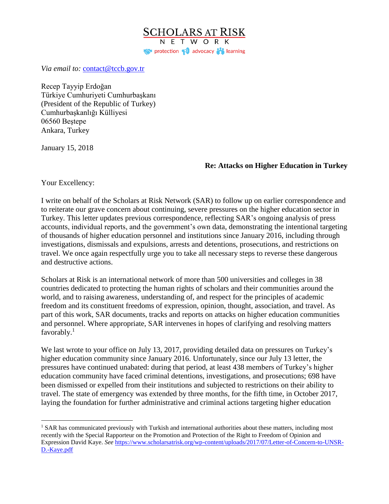**SCHOLARS AT RISK** NETWORK protection padvocacy in learning

*Via email to:* [contact@tccb.gov.tr](mailto:contact@tccb.gov.tr)

Recep Tayyip Erdoğan Türkiye Cumhuriyeti Cumhurbaşkanı (President of the Republic of Turkey) Cumhurbaşkanlığı Külliyesi 06560 Beştepe Ankara, Turkey

January 15, 2018

## **Re: Attacks on Higher Education in Turkey**

Your Excellency:

 $\overline{a}$ 

I write on behalf of the Scholars at Risk Network (SAR) to follow up on earlier correspondence and to reiterate our grave concern about continuing, severe pressures on the higher education sector in Turkey. This letter updates previous correspondence, reflecting SAR's ongoing analysis of press accounts, individual reports, and the government's own data, demonstrating the intentional targeting of thousands of higher education personnel and institutions since January 2016, including through investigations, dismissals and expulsions, arrests and detentions, prosecutions, and restrictions on travel. We once again respectfully urge you to take all necessary steps to reverse these dangerous and destructive actions.

Scholars at Risk is an international network of more than 500 universities and colleges in 38 countries dedicated to protecting the human rights of scholars and their communities around the world, and to raising awareness, understanding of, and respect for the principles of academic freedom and its constituent freedoms of expression, opinion, thought, association, and travel. As part of this work, SAR documents, tracks and reports on attacks on higher education communities and personnel. Where appropriate, SAR intervenes in hopes of clarifying and resolving matters favorably.<sup>1</sup>

We last wrote to your office on July 13, 2017, providing detailed data on pressures on Turkey's higher education community since January 2016. Unfortunately, since our July 13 letter, the pressures have continued unabated: during that period, at least 438 members of Turkey's higher education community have faced criminal detentions, investigations, and prosecutions; 698 have been dismissed or expelled from their institutions and subjected to restrictions on their ability to travel. The state of emergency was extended by three months, for the fifth time, in October 2017, laying the foundation for further administrative and criminal actions targeting higher education

<sup>&</sup>lt;sup>1</sup> SAR has communicated previously with Turkish and international authorities about these matters, including most recently with the Special Rapporteur on the Promotion and Protection of the Right to Freedom of Opinion and Expression David Kaye. *See* [https://www.scholarsatrisk.org/wp-content/uploads/2017/07/Letter-of-Concern-to-UNSR-](https://www.scholarsatrisk.org/wp-content/uploads/2017/07/Letter-of-Concern-to-UNSR-D.-Kaye.pdf)[D.-Kaye.pdf](https://www.scholarsatrisk.org/wp-content/uploads/2017/07/Letter-of-Concern-to-UNSR-D.-Kaye.pdf)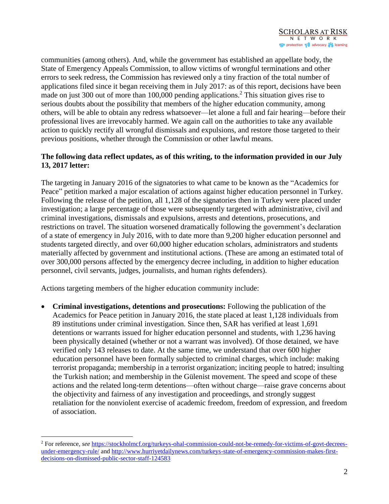communities (among others). And, while the government has established an appellate body, the State of Emergency Appeals Commission, to allow victims of wrongful terminations and other errors to seek redress, the Commission has reviewed only a tiny fraction of the total number of applications filed since it began receiving them in July 2017: as of this report, decisions have been made on just 300 out of more than 100,000 pending applications.<sup>2</sup> This situation gives rise to serious doubts about the possibility that members of the higher education community, among others, will be able to obtain any redress whatsoever—let alone a full and fair hearing—before their professional lives are irrevocably harmed. We again call on the authorities to take any available action to quickly rectify all wrongful dismissals and expulsions, and restore those targeted to their previous positions, whether through the Commission or other lawful means.

## **The following data reflect updates, as of this writing, to the information provided in our July 13, 2017 letter:**

The targeting in January 2016 of the signatories to what came to be known as the "Academics for Peace" petition marked a major escalation of actions against higher education personnel in Turkey. Following the release of the petition, all 1,128 of the signatories then in Turkey were placed under investigation; a large percentage of those were subsequently targeted with administrative, civil and criminal investigations, dismissals and expulsions, arrests and detentions, prosecutions, and restrictions on travel. The situation worsened dramatically following the government's declaration of a state of emergency in July 2016, with to date more than 9,200 higher education personnel and students targeted directly, and over 60,000 higher education scholars, administrators and students materially affected by government and institutional actions. (These are among an estimated total of over 300,000 persons affected by the emergency decree including, in addition to higher education personnel, civil servants, judges, journalists, and human rights defenders).

Actions targeting members of the higher education community include:

 $\overline{a}$ 

 **Criminal investigations, detentions and prosecutions:** Following the publication of the Academics for Peace petition in January 2016, the state placed at least 1,128 individuals from 89 institutions under criminal investigation. Since then, SAR has verified at least 1,691 detentions or warrants issued for higher education personnel and students, with 1,236 having been physically detained (whether or not a warrant was involved). Of those detained, we have verified only 143 releases to date. At the same time, we understand that over 600 higher education personnel have been formally subjected to criminal charges, which include: making terrorist propaganda; membership in a terrorist organization; inciting people to hatred; insulting the Turkish nation; and membership in the Gülenist movement. The speed and scope of these actions and the related long-term detentions—often without charge—raise grave concerns about the objectivity and fairness of any investigation and proceedings, and strongly suggest retaliation for the nonviolent exercise of academic freedom, freedom of expression, and freedom of association.

<sup>2</sup> For reference, *see* [https://stockholmcf.org/turkeys-ohal-commission-could-not-be-remedy-for-victims-of-govt-decrees](https://stockholmcf.org/turkeys-ohal-commission-could-not-be-remedy-for-victims-of-govt-decrees-under-emergency-rule/)[under-emergency-rule/](https://stockholmcf.org/turkeys-ohal-commission-could-not-be-remedy-for-victims-of-govt-decrees-under-emergency-rule/) and [http://www.hurriyetdailynews.com/turkeys-state-of-emergency-commission-makes-first](http://www.hurriyetdailynews.com/turkeys-state-of-emergency-commission-makes-first-decisions-on-dismissed-public-sector-staff-124583)[decisions-on-dismissed-public-sector-staff-124583](http://www.hurriyetdailynews.com/turkeys-state-of-emergency-commission-makes-first-decisions-on-dismissed-public-sector-staff-124583)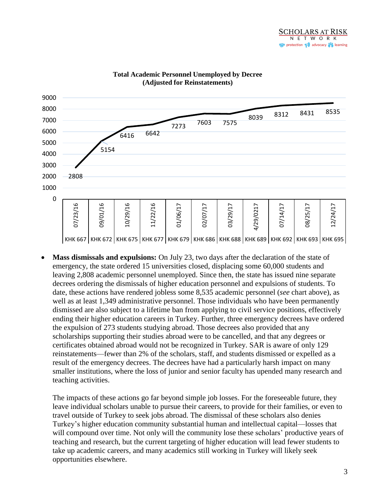

## **Total Academic Personnel Unemployed by Decree (Adjusted for Reinstatements)**

 **Mass dismissals and expulsions:** On July 23, two days after the declaration of the state of emergency, the state ordered 15 universities closed, displacing some 60,000 students and leaving 2,808 academic personnel unemployed. Since then, the state has issued nine separate decrees ordering the dismissals of higher education personnel and expulsions of students. To date, these actions have rendered jobless some 8,535 academic personnel (*see* chart above), as well as at least 1,349 administrative personnel. Those individuals who have been permanently dismissed are also subject to a lifetime ban from applying to civil service positions, effectively ending their higher education careers in Turkey. Further, three emergency decrees have ordered the expulsion of 273 students studying abroad. Those decrees also provided that any scholarships supporting their studies abroad were to be cancelled, and that any degrees or certificates obtained abroad would not be recognized in Turkey. SAR is aware of only 129 reinstatements—fewer than 2% of the scholars, staff, and students dismissed or expelled as a result of the emergency decrees. The decrees have had a particularly harsh impact on many smaller institutions, where the loss of junior and senior faculty has upended many research and teaching activities.

The impacts of these actions go far beyond simple job losses. For the foreseeable future, they leave individual scholars unable to pursue their careers, to provide for their families, or even to travel outside of Turkey to seek jobs abroad. The dismissal of these scholars also denies Turkey's higher education community substantial human and intellectual capital—losses that will compound over time. Not only will the community lose these scholars' productive years of teaching and research, but the current targeting of higher education will lead fewer students to take up academic careers, and many academics still working in Turkey will likely seek opportunities elsewhere.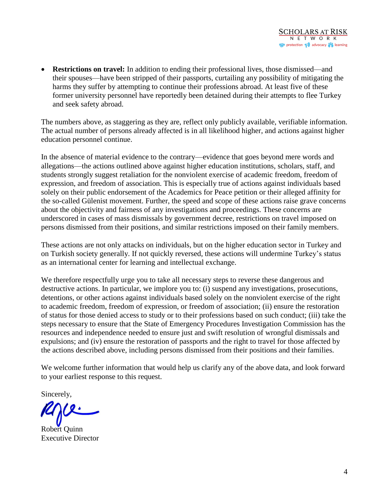• **Restrictions on travel:** In addition to ending their professional lives, those dismissed—and their spouses—have been stripped of their passports, curtailing any possibility of mitigating the harms they suffer by attempting to continue their professions abroad. At least five of these former university personnel have reportedly been detained during their attempts to flee Turkey and seek safety abroad.

The numbers above, as staggering as they are, reflect only publicly available, verifiable information. The actual number of persons already affected is in all likelihood higher, and actions against higher education personnel continue.

In the absence of material evidence to the contrary—evidence that goes beyond mere words and allegations—the actions outlined above against higher education institutions, scholars, staff, and students strongly suggest retaliation for the nonviolent exercise of academic freedom, freedom of expression, and freedom of association. This is especially true of actions against individuals based solely on their public endorsement of the Academics for Peace petition or their alleged affinity for the so-called Gülenist movement. Further, the speed and scope of these actions raise grave concerns about the objectivity and fairness of any investigations and proceedings. These concerns are underscored in cases of mass dismissals by government decree, restrictions on travel imposed on persons dismissed from their positions, and similar restrictions imposed on their family members.

These actions are not only attacks on individuals, but on the higher education sector in Turkey and on Turkish society generally. If not quickly reversed, these actions will undermine Turkey's status as an international center for learning and intellectual exchange.

We therefore respectfully urge you to take all necessary steps to reverse these dangerous and destructive actions. In particular, we implore you to: (i) suspend any investigations, prosecutions, detentions, or other actions against individuals based solely on the nonviolent exercise of the right to academic freedom, freedom of expression, or freedom of association; (ii) ensure the restoration of status for those denied access to study or to their professions based on such conduct; (iii) take the steps necessary to ensure that the State of Emergency Procedures Investigation Commission has the resources and independence needed to ensure just and swift resolution of wrongful dismissals and expulsions; and (iv) ensure the restoration of passports and the right to travel for those affected by the actions described above, including persons dismissed from their positions and their families.

We welcome further information that would help us clarify any of the above data, and look forward to your earliest response to this request.

Sincerely,

Robert Quinn Executive Director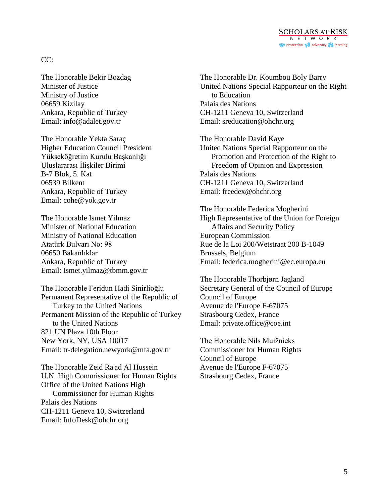

## $CC:$

The Honorable Bekir Bozdag Minister of Justice Ministry of Justice 06659 Kizilay Ankara, Republic of Turkey Email: info@adalet.gov.tr

The Honorable Yekta Saraç Higher Education Council President Yükseköğretim Kurulu Başkanlığı Uluslararası İlişkiler Birimi B-7 Blok, 5. Kat 06539 Bilkent Ankara, Republic of Turkey Email: cohe@yok.gov.tr

The Honorable Ismet Yilmaz Minister of National Education Ministry of National Education Atatürk Bulvarı No: 98 06650 Bakanlıklar Ankara, Republic of Turkey Email: Ismet.yilmaz@tbmm.gov.tr

The Honorable Feridun Hadi Sinirlioğlu Permanent Representative of the Republic of Turkey to the United Nations Permanent Mission of the Republic of Turkey to the United Nations 821 UN Plaza 10th Floor New York, NY, USA 10017 Email: tr-delegation.newyork@mfa.gov.tr

The Honorable Zeid Ra'ad Al Hussein U.N. High Commissioner for Human Rights Office of the United Nations High Commissioner for Human Rights Palais des Nations CH-1211 Geneva 10, Switzerland Email: InfoDesk@ohchr.org

The Honorable Dr. Koumbou Boly Barry United Nations Special Rapporteur on the Right to Education Palais des Nations CH-1211 Geneva 10, Switzerland Email: sreducation@ohchr.org

The Honorable David Kaye United Nations Special Rapporteur on the Promotion and Protection of the Right to Freedom of Opinion and Expression Palais des Nations CH-1211 Geneva 10, Switzerland Email: freedex@ohchr.org

The Honorable Federica Mogherini High Representative of the Union for Foreign Affairs and Security Policy European Commission Rue de la Loi 200/Wetstraat 200 B-1049 Brussels, Belgium Email: federica.mogherini@ec.europa.eu

The Honorable Thorbjørn Jagland Secretary General of the Council of Europe Council of Europe Avenue de l'Europe F-67075 Strasbourg Cedex, France Email: private.office@coe.int

The Honorable Nils Muižnieks Commissioner for Human Rights Council of Europe Avenue de l'Europe F-67075 Strasbourg Cedex, France